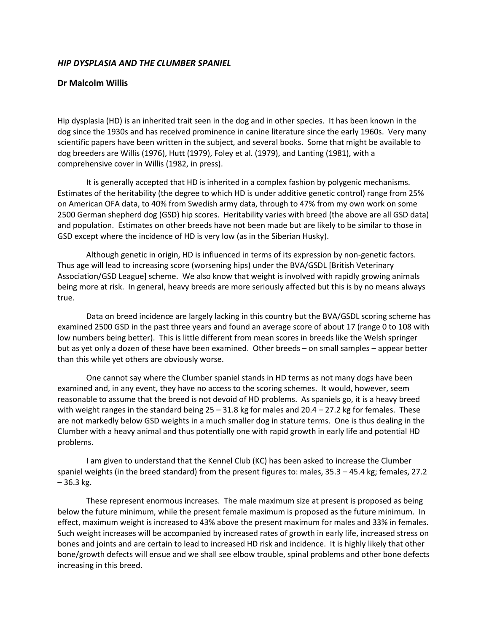## *HIP DYSPLASIA AND THE CLUMBER SPANIEL*

## **Dr Malcolm Willis**

Hip dysplasia (HD) is an inherited trait seen in the dog and in other species. It has been known in the dog since the 1930s and has received prominence in canine literature since the early 1960s. Very many scientific papers have been written in the subject, and several books. Some that might be available to dog breeders are Willis (1976), Hutt (1979), Foley et al. (1979), and Lanting (1981), with a comprehensive cover in Willis (1982, in press).

It is generally accepted that HD is inherited in a complex fashion by polygenic mechanisms. Estimates of the heritability (the degree to which HD is under additive genetic control) range from 25% on American OFA data, to 40% from Swedish army data, through to 47% from my own work on some 2500 German shepherd dog (GSD) hip scores. Heritability varies with breed (the above are all GSD data) and population. Estimates on other breeds have not been made but are likely to be similar to those in GSD except where the incidence of HD is very low (as in the Siberian Husky).

Although genetic in origin, HD is influenced in terms of its expression by non-genetic factors. Thus age will lead to increasing score (worsening hips) under the BVA/GSDL [British Veterinary Association/GSD League] scheme. We also know that weight is involved with rapidly growing animals being more at risk. In general, heavy breeds are more seriously affected but this is by no means always true.

Data on breed incidence are largely lacking in this country but the BVA/GSDL scoring scheme has examined 2500 GSD in the past three years and found an average score of about 17 (range 0 to 108 with low numbers being better). This is little different from mean scores in breeds like the Welsh springer but as yet only a dozen of these have been examined. Other breeds – on small samples – appear better than this while yet others are obviously worse.

One cannot say where the Clumber spaniel stands in HD terms as not many dogs have been examined and, in any event, they have no access to the scoring schemes. It would, however, seem reasonable to assume that the breed is not devoid of HD problems. As spaniels go, it is a heavy breed with weight ranges in the standard being  $25 - 31.8$  kg for males and  $20.4 - 27.2$  kg for females. These are not markedly below GSD weights in a much smaller dog in stature terms. One is thus dealing in the Clumber with a heavy animal and thus potentially one with rapid growth in early life and potential HD problems.

I am given to understand that the Kennel Club (KC) has been asked to increase the Clumber spaniel weights (in the breed standard) from the present figures to: males, 35.3 – 45.4 kg; females, 27.2  $-36.3$  kg.

These represent enormous increases. The male maximum size at present is proposed as being below the future minimum, while the present female maximum is proposed as the future minimum. In effect, maximum weight is increased to 43% above the present maximum for males and 33% in females. Such weight increases will be accompanied by increased rates of growth in early life, increased stress on bones and joints and are certain to lead to increased HD risk and incidence. It is highly likely that other bone/growth defects will ensue and we shall see elbow trouble, spinal problems and other bone defects increasing in this breed.